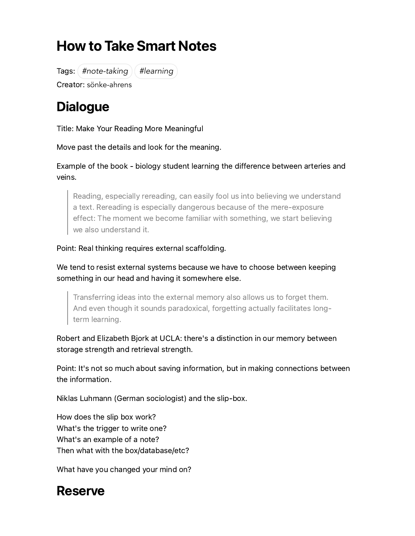# How to Take Smart Notes

Tags: *#note-taking #learning*

Creator: sönke-ahrens

## **Dialogue**

Title: Make Your Reading More Meaningful

Move past the details and look for the meaning.

Example of the book - biology student learning the difference between arteries and veins.

Reading, especially rereading, can easily fool us into believing we understand a text. Rereading is especially dangerous because of the mere-exposure effect: The moment we become familiar with something, we start believing we also understand it.

Point: Real thinking requires external scaffolding.

We tend to resist external systems because we have to choose between keeping something in our head and having it somewhere else.

Transferring ideas into the external memory also allows us to forget them. And even though it sounds paradoxical, forgetting actually facilitates longterm learning.

Robert and Elizabeth Bjork at UCLA: there's a distinction in our memory between storage strength and retrieval strength.

Point: It's not so much about saving information, but in making connections between the information.

Niklas Luhmann (German sociologist) and the slip-box.

How does the slip box work? What's the trigger to write one? What's an example of a note? Then what with the box/database/etc?

What have you changed your mind on?

#### Reserve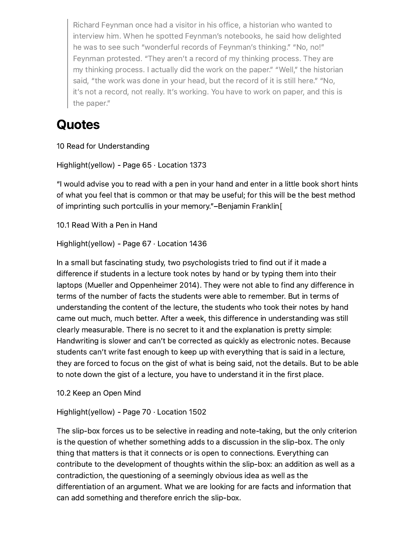Richard Feynman once had a visitor in his office, a historian who wanted to interview him. When he spotted Feynman's notebooks, he said how delighted he was to see such "wonderful records of Feynman's thinking." "No, no!" Feynman protested. "They aren't a record of my thinking process. They are my thinking process. I actually did the work on the paper." "Well," the historian said, "the work was done in your head, but the record of it is still here." "No, it's not a record, not really. It's working. You have to work on paper, and this is the paper."

### **Quotes**

10 Read for Understanding

```
Highlight(yellow) - Page 65 · Location 1373
```
"I would advise you to read with a pen in your hand and enter in a little book short hints of what you feel that is common or that may be useful; for this will be the best method of imprinting such portcullis in your memory."–Benjamin Franklin[

10.1 Read With a Pen in Hand

```
Highlight(yellow) - Page 67 · Location 1436
```
In a small but fascinating study, two psychologists tried to find out if it made a difference if students in a lecture took notes by hand or by typing them into their laptops (Mueller and Oppenheimer 2014). They were not able to find any difference in terms of the number of facts the students were able to remember. But in terms of understanding the content of the lecture, the students who took their notes by hand came out much, much better. After a week, this difference in understanding was still clearly measurable. There is no secret to it and the explanation is pretty simple: Handwriting is slower and can't be corrected as quickly as electronic notes. Because students can't write fast enough to keep up with everything that is said in a lecture, they are forced to focus on the gist of what is being said, not the details. But to be able to note down the gist of a lecture, you have to understand it in the first place.

10.2 Keep an Open Mind

Highlight(yellow) - Page 70 · Location 1502

The slip-box forces us to be selective in reading and note-taking, but the only criterion is the question of whether something adds to a discussion in the slip-box. The only thing that matters is that it connects or is open to connections. Everything can contribute to the development of thoughts within the slip-box: an addition as well as a contradiction, the questioning of a seemingly obvious idea as well as the differentiation of an argument. What we are looking for are facts and information that can add something and therefore enrich the slip-box.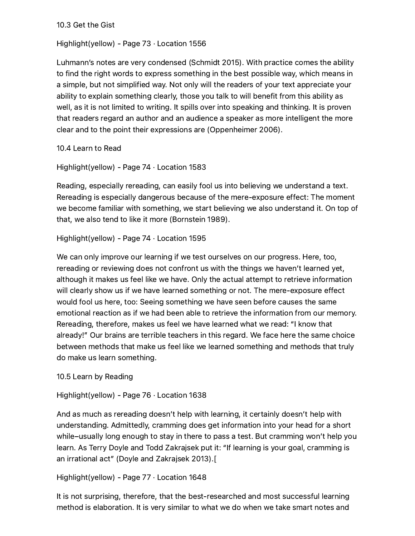10.3 Get the Gist

Highlight(yellow) - Page 73 · Location 1556

Luhmann's notes are very condensed (Schmidt 2015). With practice comes the ability to find the right words to express something in the best possible way, which means in a simple, but not simplified way. Not only will the readers of your text appreciate your ability to explain something clearly, those you talk to will benefit from this ability as well, as it is not limited to writing. It spills over into speaking and thinking. It is proven that readers regard an author and an audience a speaker as more intelligent the more clear and to the point their expressions are (Oppenheimer 2006).

10.4 Learn to Read

Highlight(yellow) - Page 74 · Location 1583

Reading, especially rereading, can easily fool us into believing we understand a text. Rereading is especially dangerous because of the mere-exposure effect: The moment we become familiar with something, we start believing we also understand it. On top of that, we also tend to like it more (Bornstein 1989).

Highlight(yellow) - Page 74 · Location 1595

We can only improve our learning if we test ourselves on our progress. Here, too, rereading or reviewing does not confront us with the things we haven't learned yet, although it makes us feel like we have. Only the actual attempt to retrieve information will clearly show us if we have learned something or not. The mere-exposure effect would fool us here, too: Seeing something we have seen before causes the same emotional reaction as if we had been able to retrieve the information from our memory. Rereading, therefore, makes us feel we have learned what we read: "I know that already!" Our brains are terrible teachers in this regard. We face here the same choice between methods that make us feel like we learned something and methods that truly do make us learn something.

10.5 Learn by Reading

Highlight(yellow) - Page 76 · Location 1638

And as much as rereading doesn't help with learning, it certainly doesn't help with understanding. Admittedly, cramming does get information into your head for a short while–usually long enough to stay in there to pass a test. But cramming won't help you learn. As Terry Doyle and Todd Zakrajsek put it: "If learning is your goal, cramming is an irrational act" (Doyle and Zakrajsek 2013).[

Highlight(yellow) - Page 77 · Location 1648

It is not surprising, therefore, that the best-researched and most successful learning method is elaboration. It is very similar to what we do when we take smart notes and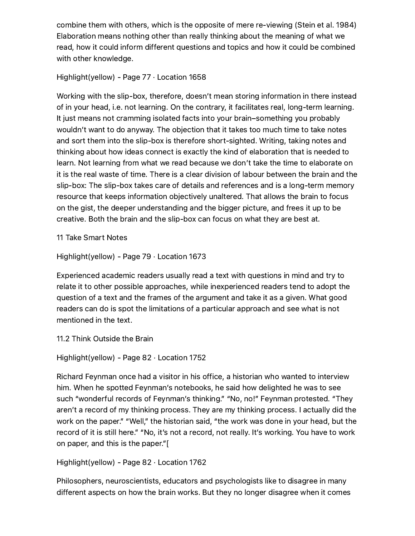combine them with others, which is the opposite of mere re-viewing (Stein et al. 1984) Elaboration means nothing other than really thinking about the meaning of what we read, how it could inform different questions and topics and how it could be combined with other knowledge.

```
Highlight(yellow) - Page 77 · Location 1658
```
Working with the slip-box, therefore, doesn't mean storing information in there instead of in your head, i.e. not learning. On the contrary, it facilitates real, long-term learning. It just means not cramming isolated facts into your brain–something you probably wouldn't want to do anyway. The objection that it takes too much time to take notes and sort them into the slip-box is therefore short-sighted. Writing, taking notes and thinking about how ideas connect is exactly the kind of elaboration that is needed to learn. Not learning from what we read because we don't take the time to elaborate on it is the real waste of time. There is a clear division of labour between the brain and the slip-box: The slip-box takes care of details and references and is a long-term memory resource that keeps information objectively unaltered. That allows the brain to focus on the gist, the deeper understanding and the bigger picture, and frees it up to be creative. Both the brain and the slip-box can focus on what they are best at.

11 Take Smart Notes

```
Highlight(yellow) - Page 79 · Location 1673
```
Experienced academic readers usually read a text with questions in mind and try to relate it to other possible approaches, while inexperienced readers tend to adopt the question of a text and the frames of the argument and take it as a given. What good readers can do is spot the limitations of a particular approach and see what is not mentioned in the text.

11.2 Think Outside the Brain

Highlight(yellow) - Page 82 · Location 1752

Richard Feynman once had a visitor in his office, a historian who wanted to interview him. When he spotted Feynman's notebooks, he said how delighted he was to see such "wonderful records of Feynman's thinking." "No, no!" Feynman protested. "They aren't a record of my thinking process. They are my thinking process. I actually did the work on the paper." "Well," the historian said, "the work was done in your head, but the record of it is still here." "No, it's not a record, not really. It's working. You have to work on paper, and this is the paper."[

Highlight(yellow) - Page 82 · Location 1762

Philosophers, neuroscientists, educators and psychologists like to disagree in many different aspects on how the brain works. But they no longer disagree when it comes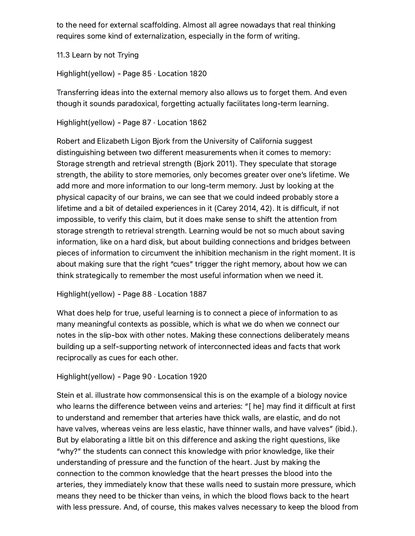to the need for external scaffolding. Almost all agree nowadays that real thinking requires some kind of externalization, especially in the form of writing.

11.3 Learn by not Trying

Highlight(yellow) - Page 85 · Location 1820

Transferring ideas into the external memory also allows us to forget them. And even though it sounds paradoxical, forgetting actually facilitates long-term learning.

Highlight(yellow) - Page 87 · Location 1862

Robert and Elizabeth Ligon Bjork from the University of California suggest distinguishing between two different measurements when it comes to memory: Storage strength and retrieval strength (Bjork 2011). They speculate that storage strength, the ability to store memories, only becomes greater over one's lifetime. We add more and more information to our long-term memory. Just by looking at the physical capacity of our brains, we can see that we could indeed probably store a lifetime and a bit of detailed experiences in it (Carey 2014, 42). It is difficult, if not impossible, to verify this claim, but it does make sense to shift the attention from storage strength to retrieval strength. Learning would be not so much about saving information, like on a hard disk, but about building connections and bridges between pieces of information to circumvent the inhibition mechanism in the right moment. It is about making sure that the right "cues" trigger the right memory, about how we can think strategically to remember the most useful information when we need it.

Highlight(yellow) - Page 88 · Location 1887

What does help for true, useful learning is to connect a piece of information to as many meaningful contexts as possible, which is what we do when we connect our notes in the slip-box with other notes. Making these connections deliberately means building up a self-supporting network of interconnected ideas and facts that work reciprocally as cues for each other.

Highlight(yellow) - Page 90 · Location 1920

Stein et al. illustrate how commonsensical this is on the example of a biology novice who learns the difference between veins and arteries: "[ he] may find it difficult at first to understand and remember that arteries have thick walls, are elastic, and do not have valves, whereas veins are less elastic, have thinner walls, and have valves" (ibid.). But by elaborating a little bit on this difference and asking the right questions, like "why?" the students can connect this knowledge with prior knowledge, like their understanding of pressure and the function of the heart. Just by making the connection to the common knowledge that the heart presses the blood into the arteries, they immediately know that these walls need to sustain more pressure, which means they need to be thicker than veins, in which the blood flows back to the heart with less pressure. And, of course, this makes valves necessary to keep the blood from